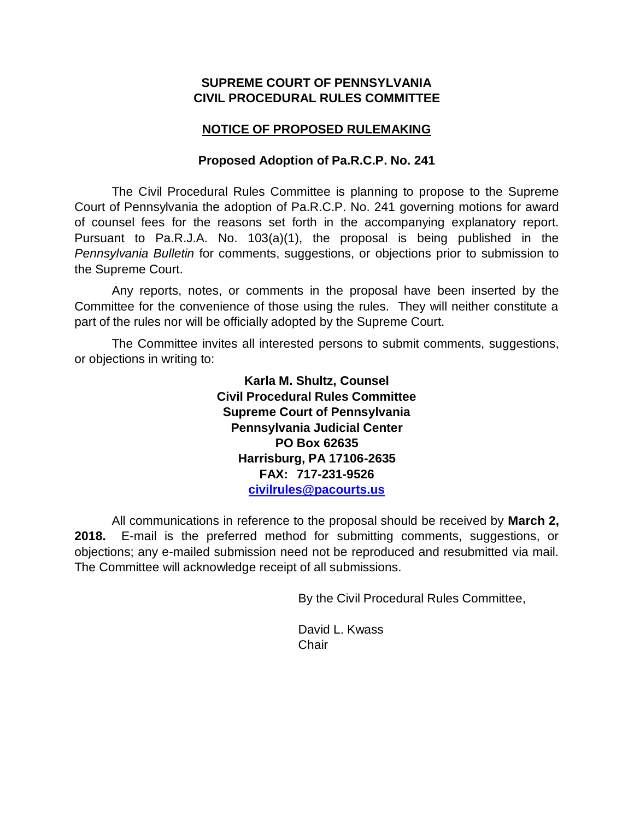## **SUPREME COURT OF PENNSYLVANIA CIVIL PROCEDURAL RULES COMMITTEE**

# **NOTICE OF PROPOSED RULEMAKING**

## **Proposed Adoption of Pa.R.C.P. No. 241**

The Civil Procedural Rules Committee is planning to propose to the Supreme Court of Pennsylvania the adoption of Pa.R.C.P. No. 241 governing motions for award of counsel fees for the reasons set forth in the accompanying explanatory report. Pursuant to Pa.R.J.A. No. 103(a)(1), the proposal is being published in the *Pennsylvania Bulletin* for comments, suggestions, or objections prior to submission to the Supreme Court.

Any reports, notes, or comments in the proposal have been inserted by the Committee for the convenience of those using the rules. They will neither constitute a part of the rules nor will be officially adopted by the Supreme Court.

The Committee invites all interested persons to submit comments, suggestions, or objections in writing to:

> **Karla M. Shultz, Counsel Civil Procedural Rules Committee Supreme Court of Pennsylvania Pennsylvania Judicial Center PO Box 62635 Harrisburg, PA 17106-2635 FAX: 717-231-9526 [civilrules@pacourts.us](mailto:civilrules@pacourts.us)**

All communications in reference to the proposal should be received by **March 2, 2018.** E-mail is the preferred method for submitting comments, suggestions, or objections; any e-mailed submission need not be reproduced and resubmitted via mail. The Committee will acknowledge receipt of all submissions.

By the Civil Procedural Rules Committee,

David L. Kwass **Chair**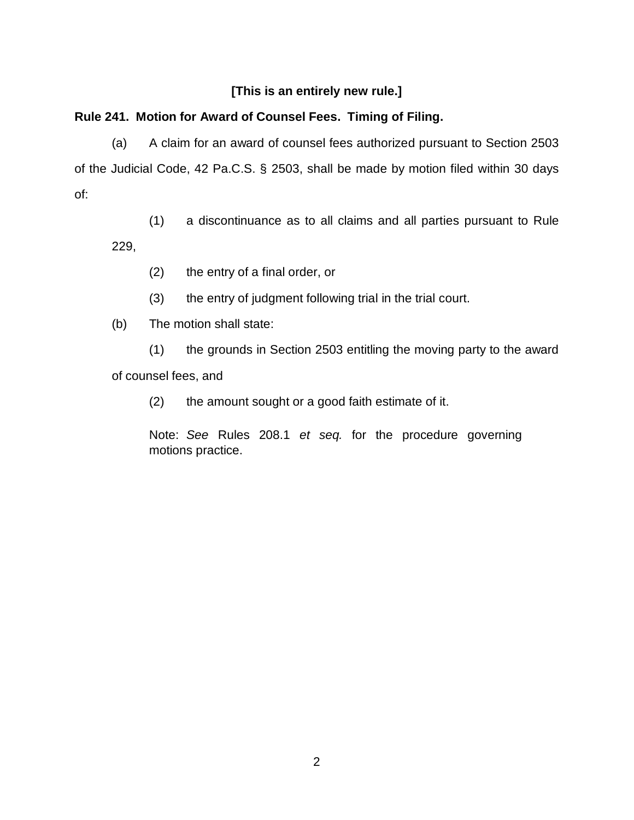# **[This is an entirely new rule.]**

# **Rule 241. Motion for Award of Counsel Fees. Timing of Filing.**

(a) A claim for an award of counsel fees authorized pursuant to Section 2503 of the Judicial Code, 42 Pa.C.S. § 2503, shall be made by motion filed within 30 days of:

(1) a discontinuance as to all claims and all parties pursuant to Rule 229,

- (2) the entry of a final order, or
- (3) the entry of judgment following trial in the trial court.
- (b) The motion shall state:

(1) the grounds in Section 2503 entitling the moving party to the award of counsel fees, and

(2) the amount sought or a good faith estimate of it.

Note: *See* Rules 208.1 *et seq.* for the procedure governing motions practice.